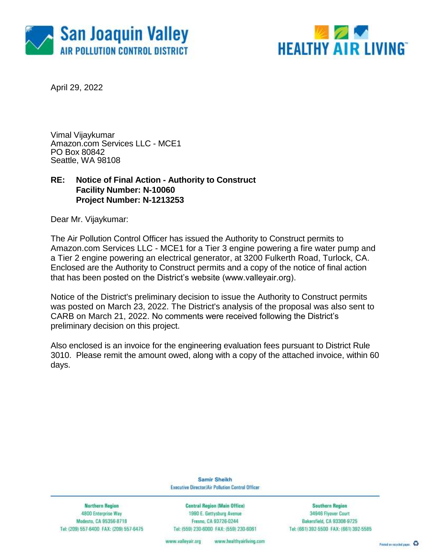



April 29, 2022

Vimal Vijaykumar Amazon.com Services LLC - MCE1 PO Box 80842 Seattle, WA 98108

### **RE: Notice of Final Action - Authority to Construct Facility Number: N-10060 Project Number: N-1213253**

Dear Mr. Vijaykumar:

The Air Pollution Control Officer has issued the Authority to Construct permits to Amazon.com Services LLC - MCE1 for a Tier 3 engine powering a fire water pump and a Tier 2 engine powering an electrical generator, at 3200 Fulkerth Road, Turlock, CA. Enclosed are the Authority to Construct permits and a copy of the notice of final action that has been posted on the District's website (www.valleyair.org).

Notice of the District's preliminary decision to issue the Authority to Construct permits was posted on March 23, 2022. The District's analysis of the proposal was also sent to CARB on March 21, 2022. No comments were received following the District's preliminary decision on this project.

Also enclosed is an invoice for the engineering evaluation fees pursuant to District Rule 3010. Please remit the amount owed, along with a copy of the attached invoice, within 60 days.

> Samir Sheikh Executive Director/Air Pollution Control Officer

**Northern Region** 4800 Enterprise Way Modesto, CA 95356-8718 Tel: (209) 557-6400 FAX: (209) 557-6475

**Central Region (Main Office)** 1990 E. Gettysburg Avenue Fresna, CA 93726-0244 Tel: (559) 230-6000 FAX: (559) 230-6061

**Southern Region** 34946 Flyover Court Bakersfield, CA 93308-9725 Tel: (661) 392-5500 FAX: (661) 392-5585

www.bealthyairliving.com www.valleyair.org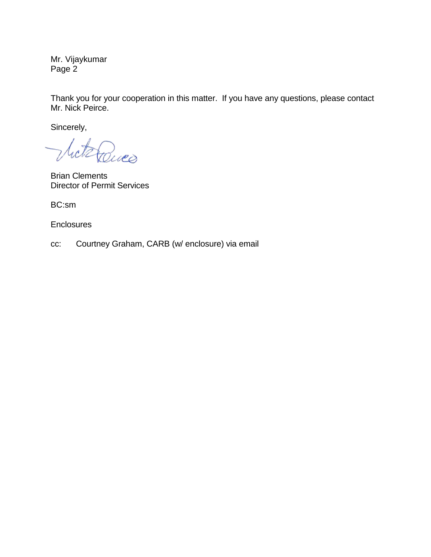Mr. Vijaykumar Page 2

Thank you for your cooperation in this matter. If you have any questions, please contact Mr. Nick Peirce.

Sincerely,

Miterances

Brian Clements Director of Permit Services

BC:sm

**Enclosures** 

cc: Courtney Graham, CARB (w/ enclosure) via email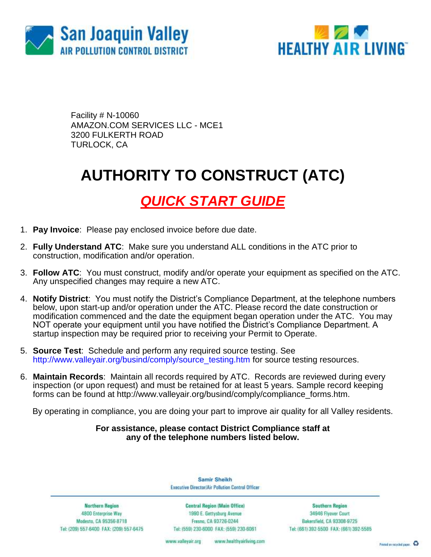



Facility # N-10060 AMAZON.COM SERVICES LLC - MCE1 3200 FULKERTH ROAD TURLOCK, CA

## **AUTHORITY TO CONSTRUCT (ATC)**

## *QUICK START GUIDE*

- 1. **Pay Invoice**: Please pay enclosed invoice before due date.
- 2. **Fully Understand ATC**: Make sure you understand ALL conditions in the ATC prior to construction, modification and/or operation.
- 3. **Follow ATC**: You must construct, modify and/or operate your equipment as specified on the ATC. Any unspecified changes may require a new ATC.
- 4. **Notify District**: You must notify the District's Compliance Department, at the telephone numbers below, upon start-up and/or operation under the ATC. Please record the date construction or modification commenced and the date the equipment began operation under the ATC. You may NOT operate your equipment until you have notified the District's Compliance Department. A startup inspection may be required prior to receiving your Permit to Operate.
- 5. **Source Test**: Schedule and perform any required source testing. See [http://www.valleyair.org/busind/comply/source\\_testing.htm](http://www.valleyair.org/busind/comply/source_testing.htm) for source testing resources.
- 6. **Maintain Records**:Maintain all records required by ATC. Records are reviewed during every inspection (or upon request) and must be retained for at least 5 years. Sample record keeping forms can be found at http://www.valleyair.org/busind/comply/compliance\_forms.htm.

By operating in compliance, you are doing your part to improve air quality for all Valley residents.

### **For assistance, please contact District Compliance staff at any of the telephone numbers listed below.**

Samir Sheikh Executive Director/Air Pollution Control Officer

**Northern Region** 4800 Enterprise Way Modesto, CA 95356-8718 Tel: (209) 557-6400 FAX: (209) 557-6475

Central Region (Main Office) 1990 E. Gettysburg Avenue Fresna, CA 93726-0244 Tel: (559) 230-6000 FAX: (559) 230-6061

**Southern Region** 34946 Flyover Court Bakersfield, CA 93308-9725 Tel: (661) 392-5500 FAX: (661) 392-5585

www.bealthyairliving.com www.valleyair.org

Preced on recycled paper. 43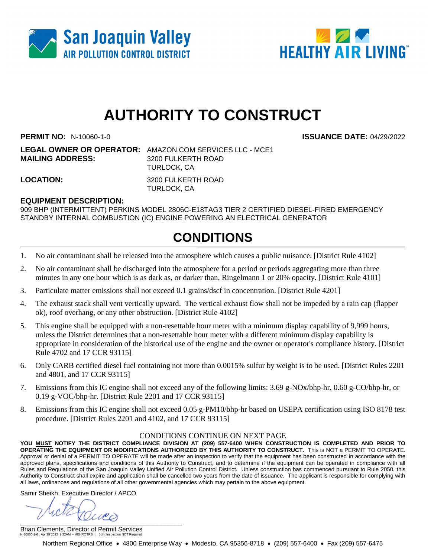



# **AUTHORITY TO CONSTRUCT**

**PERMIT NO:** N-10060-1-0 **ISSUANCE DATE:** 04/29/2022

**LEGAL OWNER OR OPERATOR:** AMAZON.COM SERVICES LLC - MCE1 **MAILING ADDRESS:** 3200 FULKERTH ROAD TURLOCK, CA

**LOCATION:** 3200 FULKERTH ROAD TURLOCK, CA

### **EQUIPMENT DESCRIPTION:**

909 BHP (INTERMITTENT) PERKINS MODEL 2806C-E18TAG3 TIER 2 CERTIFIED DIESEL-FIRED EMERGENCY STANDBY INTERNAL COMBUSTION (IC) ENGINE POWERING AN ELECTRICAL GENERATOR

### **CONDITIONS**

- 1. No air contaminant shall be released into the atmosphere which causes a public nuisance. [District Rule 4102]
- 2. No air contaminant shall be discharged into the atmosphere for a period or periods aggregating more than three minutes in any one hour which is as dark as, or darker than, Ringelmann 1 or 20% opacity. [District Rule 4101]
- 3. Particulate matter emissions shall not exceed 0.1 grains/dscf in concentration. [District Rule 4201]
- 4. The exhaust stack shall vent vertically upward. The vertical exhaust flow shall not be impeded by a rain cap (flapper ok), roof overhang, or any other obstruction. [District Rule 4102]
- 5. This engine shall be equipped with a non-resettable hour meter with a minimum display capability of 9,999 hours, unless the District determines that a non-resettable hour meter with a different minimum display capability is appropriate in consideration of the historical use of the engine and the owner or operator's compliance history. [District Rule 4702 and 17 CCR 93115]
- 6. Only CARB certified diesel fuel containing not more than 0.0015% sulfur by weight is to be used. [District Rules 2201 and 4801, and 17 CCR 93115]
- 7. Emissions from this IC engine shall not exceed any of the following limits: 3.69 g-NOx/bhp-hr, 0.60 g-CO/bhp-hr, or 0.19 g-VOC/bhp-hr. [District Rule 2201 and 17 CCR 93115]
- 8. Emissions from this IC engine shall not exceed 0.05 g-PM10/bhp-hr based on USEPA certification using ISO 8178 test procedure. [District Rules 2201 and 4102, and 17 CCR 93115]

#### CONDITIONS CONTINUE ON NEXT PAGE

**YOU MUST NOTIFY THE DISTRICT COMPLIANCE DIVISION AT (209) 557-6400 WHEN CONSTRUCTION IS COMPLETED AND PRIOR TO OPERATING THE EQUIPMENT OR MODIFICATIONS AUTHORIZED BY THIS AUTHORITY TO CONSTRUCT.** This is NOT a PERMIT TO OPERATE. Approval or denial of a PERMIT TO OPERATE will be made after an inspection to verify that the equipment has been constructed in accordance with the approved plans, specifications and conditions of this Authority to Construct, and to determine if the equipment can be operated in compliance with all Rules and Regulations of the San Joaquin Valley Unified Air Pollution Control District. Unless construction has commenced pursuant to Rule 2050, this Authority to Construct shall expire and application shall be cancelled two years from the date of issuance. The applicant is responsible for complying with all laws, ordinances and regulations of all other governmental agencies which may pertain to the above equipment.

Samir Sheikh, Executive Director / APCO

 $\frac{1}{2}$ 

Brian Clements, Director of Permit Services N-10060-1-0 : Apr 29 2022 9:32AM -- MEHROTRS : Joint Inspection NOT Required

Northern Regional Office • 4800 Enterprise Way • Modesto, CA 95356-8718 • (209) 557-6400 • Fax (209) 557-6475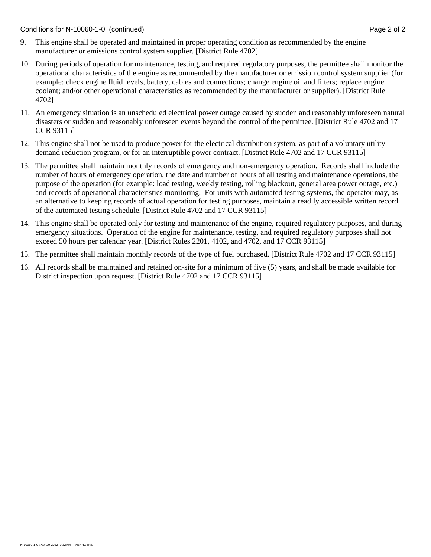Conditions for N-10060-1-0 (continued) Page 2 of 2

- 9. This engine shall be operated and maintained in proper operating condition as recommended by the engine manufacturer or emissions control system supplier. [District Rule 4702]
- 10. During periods of operation for maintenance, testing, and required regulatory purposes, the permittee shall monitor the operational characteristics of the engine as recommended by the manufacturer or emission control system supplier (for example: check engine fluid levels, battery, cables and connections; change engine oil and filters; replace engine coolant; and/or other operational characteristics as recommended by the manufacturer or supplier). [District Rule 4702]
- 11. An emergency situation is an unscheduled electrical power outage caused by sudden and reasonably unforeseen natural disasters or sudden and reasonably unforeseen events beyond the control of the permittee. [District Rule 4702 and 17 CCR 93115]
- 12. This engine shall not be used to produce power for the electrical distribution system, as part of a voluntary utility demand reduction program, or for an interruptible power contract. [District Rule 4702 and 17 CCR 93115]
- 13. The permittee shall maintain monthly records of emergency and non-emergency operation. Records shall include the number of hours of emergency operation, the date and number of hours of all testing and maintenance operations, the purpose of the operation (for example: load testing, weekly testing, rolling blackout, general area power outage, etc.) and records of operational characteristics monitoring. For units with automated testing systems, the operator may, as an alternative to keeping records of actual operation for testing purposes, maintain a readily accessible written record of the automated testing schedule. [District Rule 4702 and 17 CCR 93115]
- 14. This engine shall be operated only for testing and maintenance of the engine, required regulatory purposes, and during emergency situations. Operation of the engine for maintenance, testing, and required regulatory purposes shall not exceed 50 hours per calendar year. [District Rules 2201, 4102, and 4702, and 17 CCR 93115]
- 15. The permittee shall maintain monthly records of the type of fuel purchased. [District Rule 4702 and 17 CCR 93115]
- 16. All records shall be maintained and retained on-site for a minimum of five (5) years, and shall be made available for District inspection upon request. [District Rule 4702 and 17 CCR 93115]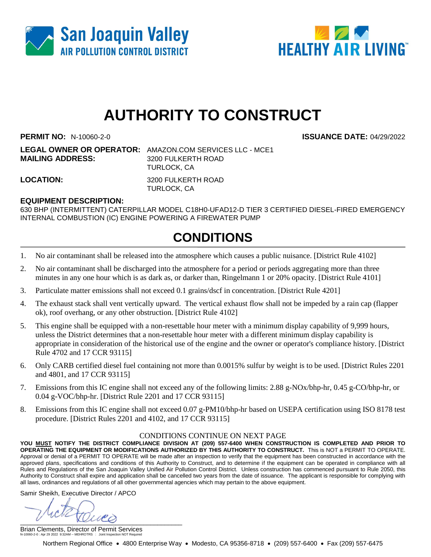



# **AUTHORITY TO CONSTRUCT**

**PERMIT NO:** N-10060-2-0 **ISSUANCE DATE:** 04/29/2022

**LEGAL OWNER OR OPERATOR:** AMAZON.COM SERVICES LLC - MCE1 **MAILING ADDRESS:** 3200 FULKERTH ROAD TURLOCK, CA

**LOCATION:** 3200 FULKERTH ROAD TURLOCK, CA

### **EQUIPMENT DESCRIPTION:**

630 BHP (INTERMITTENT) CATERPILLAR MODEL C18H0-UFAD12-D TIER 3 CERTIFIED DIESEL-FIRED EMERGENCY INTERNAL COMBUSTION (IC) ENGINE POWERING A FIREWATER PUMP

### **CONDITIONS**

- 1. No air contaminant shall be released into the atmosphere which causes a public nuisance. [District Rule 4102]
- 2. No air contaminant shall be discharged into the atmosphere for a period or periods aggregating more than three minutes in any one hour which is as dark as, or darker than, Ringelmann 1 or 20% opacity. [District Rule 4101]
- 3. Particulate matter emissions shall not exceed 0.1 grains/dscf in concentration. [District Rule 4201]
- 4. The exhaust stack shall vent vertically upward. The vertical exhaust flow shall not be impeded by a rain cap (flapper ok), roof overhang, or any other obstruction. [District Rule 4102]
- 5. This engine shall be equipped with a non-resettable hour meter with a minimum display capability of 9,999 hours, unless the District determines that a non-resettable hour meter with a different minimum display capability is appropriate in consideration of the historical use of the engine and the owner or operator's compliance history. [District Rule 4702 and 17 CCR 93115]
- 6. Only CARB certified diesel fuel containing not more than 0.0015% sulfur by weight is to be used. [District Rules 2201 and 4801, and 17 CCR 93115]
- 7. Emissions from this IC engine shall not exceed any of the following limits: 2.88 g-NOx/bhp-hr, 0.45 g-CO/bhp-hr, or 0.04 g-VOC/bhp-hr. [District Rule 2201 and 17 CCR 93115]
- 8. Emissions from this IC engine shall not exceed 0.07 g-PM10/bhp-hr based on USEPA certification using ISO 8178 test procedure. [District Rules 2201 and 4102, and 17 CCR 93115]

#### CONDITIONS CONTINUE ON NEXT PAGE

**YOU MUST NOTIFY THE DISTRICT COMPLIANCE DIVISION AT (209) 557-6400 WHEN CONSTRUCTION IS COMPLETED AND PRIOR TO OPERATING THE EQUIPMENT OR MODIFICATIONS AUTHORIZED BY THIS AUTHORITY TO CONSTRUCT.** This is NOT a PERMIT TO OPERATE. Approval or denial of a PERMIT TO OPERATE will be made after an inspection to verify that the equipment has been constructed in accordance with the approved plans, specifications and conditions of this Authority to Construct, and to determine if the equipment can be operated in compliance with all Rules and Regulations of the San Joaquin Valley Unified Air Pollution Control District. Unless construction has commenced pursuant to Rule 2050, this Authority to Construct shall expire and application shall be cancelled two years from the date of issuance. The applicant is responsible for complying with all laws, ordinances and regulations of all other governmental agencies which may pertain to the above equipment.

Samir Sheikh, Executive Director / APCO

 $\frac{1}{2}$ 

Brian Clements, Director of Permit Services N-10060-2-0 : Apr 29 2022 9:32AM -- MEHROTRS : Joint Inspection NOT Required

Northern Regional Office • 4800 Enterprise Way • Modesto, CA 95356-8718 • (209) 557-6400 • Fax (209) 557-6475